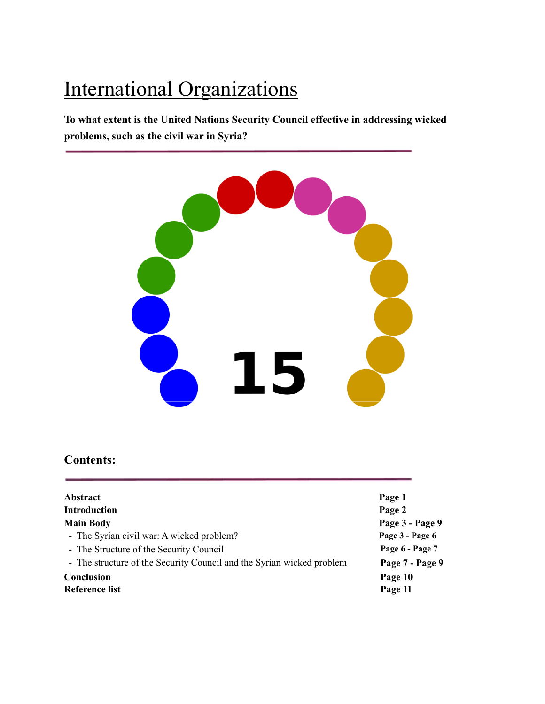# International Organizations

**To what extent is the United Nations Security Council effective in addressing wicked problems, such as the civil war in Syria?**



# **Contents:**

| <b>Abstract</b>                                                       | Page 1          |
|-----------------------------------------------------------------------|-----------------|
| <b>Introduction</b>                                                   | Page 2          |
| <b>Main Body</b>                                                      | Page 3 - Page 9 |
| - The Syrian civil war: A wicked problem?                             | Page 3 - Page 6 |
| - The Structure of the Security Council                               | Page 6 - Page 7 |
| - The structure of the Security Council and the Syrian wicked problem | Page 7 - Page 9 |
| Conclusion                                                            | Page 10         |
| Reference list                                                        | Page 11         |
|                                                                       |                 |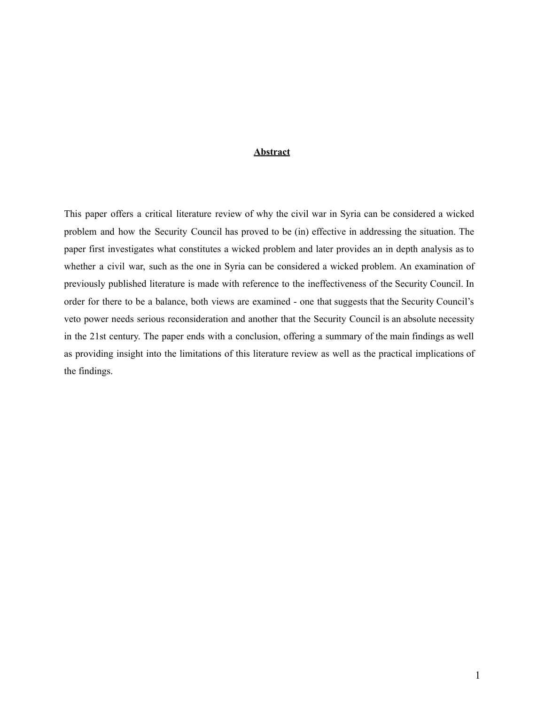### **Abstract**

This paper offers a critical literature review of why the civil war in Syria can be considered a wicked problem and how the Security Council has proved to be (in) effective in addressing the situation. The paper first investigates what constitutes a wicked problem and later provides an in depth analysis as to whether a civil war, such as the one in Syria can be considered a wicked problem. An examination of previously published literature is made with reference to the ineffectiveness of the Security Council. In order for there to be a balance, both views are examined - one that suggests that the Security Council's veto power needs serious reconsideration and another that the Security Council is an absolute necessity in the 21st century. The paper ends with a conclusion, offering a summary of the main findings as well as providing insight into the limitations of this literature review as well as the practical implications of the findings.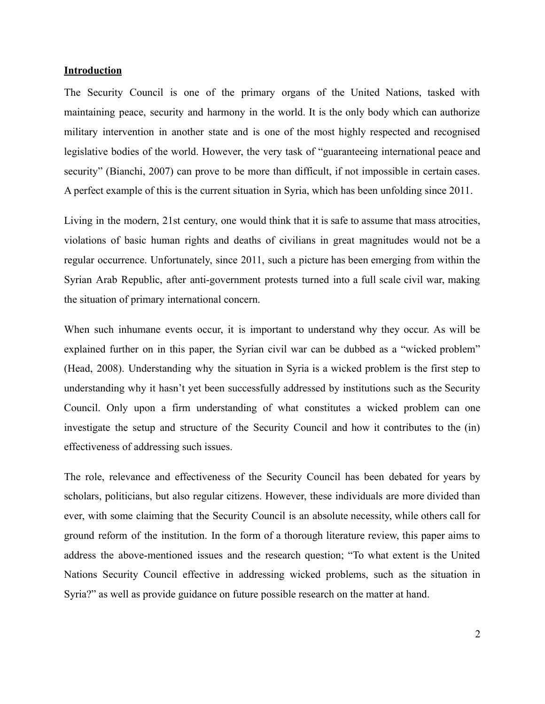#### **Introduction**

The Security Council is one of the primary organs of the United Nations, tasked with maintaining peace, security and harmony in the world. It is the only body which can authorize military intervention in another state and is one of the most highly respected and recognised legislative bodies of the world. However, the very task of "guaranteeing international peace and security" (Bianchi, 2007) can prove to be more than difficult, if not impossible in certain cases. A perfect example of this is the current situation in Syria, which has been unfolding since 2011.

Living in the modern, 21st century, one would think that it is safe to assume that mass atrocities, violations of basic human rights and deaths of civilians in great magnitudes would not be a regular occurrence. Unfortunately, since 2011, such a picture has been emerging from within the Syrian Arab Republic, after anti-government protests turned into a full scale civil war, making the situation of primary international concern.

When such inhumane events occur, it is important to understand why they occur. As will be explained further on in this paper, the Syrian civil war can be dubbed as a "wicked problem" (Head, 2008). Understanding why the situation in Syria is a wicked problem is the first step to understanding why it hasn't yet been successfully addressed by institutions such as the Security Council. Only upon a firm understanding of what constitutes a wicked problem can one investigate the setup and structure of the Security Council and how it contributes to the (in) effectiveness of addressing such issues.

The role, relevance and effectiveness of the Security Council has been debated for years by scholars, politicians, but also regular citizens. However, these individuals are more divided than ever, with some claiming that the Security Council is an absolute necessity, while others call for ground reform of the institution. In the form of a thorough literature review, this paper aims to address the above-mentioned issues and the research question; "To what extent is the United Nations Security Council effective in addressing wicked problems, such as the situation in Syria?" as well as provide guidance on future possible research on the matter at hand.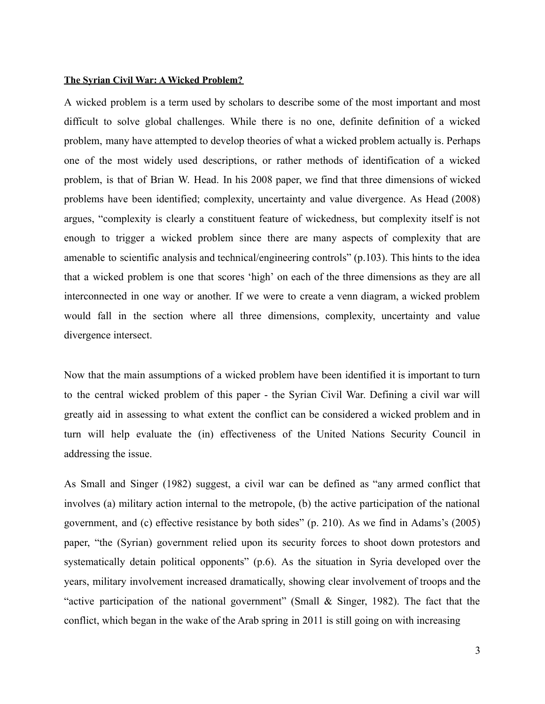#### **The Syrian Civil War: A Wicked Problem?**

A wicked problem is a term used by scholars to describe some of the most important and most difficult to solve global challenges. While there is no one, definite definition of a wicked problem, many have attempted to develop theories of what a wicked problem actually is. Perhaps one of the most widely used descriptions, or rather methods of identification of a wicked problem, is that of Brian W. Head. In his 2008 paper, we find that three dimensions of wicked problems have been identified; complexity, uncertainty and value divergence. As Head (2008) argues, "complexity is clearly a constituent feature of wickedness, but complexity itself is not enough to trigger a wicked problem since there are many aspects of complexity that are amenable to scientific analysis and technical/engineering controls" (p.103). This hints to the idea that a wicked problem is one that scores 'high' on each of the three dimensions as they are all interconnected in one way or another. If we were to create a venn diagram, a wicked problem would fall in the section where all three dimensions, complexity, uncertainty and value divergence intersect.

Now that the main assumptions of a wicked problem have been identified it is important to turn to the central wicked problem of this paper - the Syrian Civil War. Defining a civil war will greatly aid in assessing to what extent the conflict can be considered a wicked problem and in turn will help evaluate the (in) effectiveness of the United Nations Security Council in addressing the issue.

As Small and Singer (1982) suggest, a civil war can be defined as "any armed conflict that involves (a) military action internal to the metropole, (b) the active participation of the national government, and (c) effective resistance by both sides" (p. 210). As we find in Adams's (2005) paper, "the (Syrian) government relied upon its security forces to shoot down protestors and systematically detain political opponents" (p.6). As the situation in Syria developed over the years, military involvement increased dramatically, showing clear involvement of troops and the "active participation of the national government" (Small & Singer, 1982). The fact that the conflict, which began in the wake of the Arab spring in 2011 is still going on with increasing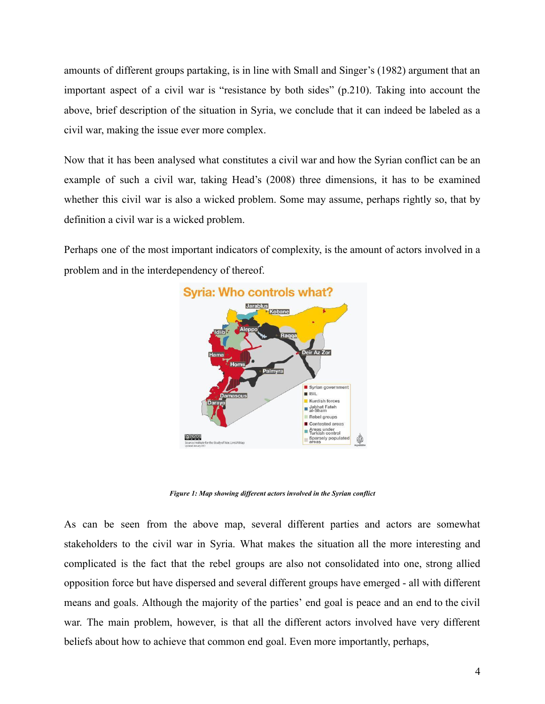amounts of different groups partaking, is in line with Small and Singer's (1982) argument that an important aspect of a civil war is "resistance by both sides" (p.210). Taking into account the above, brief description of the situation in Syria, we conclude that it can indeed be labeled as a civil war, making the issue ever more complex.

Now that it has been analysed what constitutes a civil war and how the Syrian conflict can be an example of such a civil war, taking Head's (2008) three dimensions, it has to be examined whether this civil war is also a wicked problem. Some may assume, perhaps rightly so, that by definition a civil war is a wicked problem.

Perhaps one of the most important indicators of complexity, is the amount of actors involved in a problem and in the interdependency of thereof.



*Figure 1: Map showing dif erent actors involved in the Syrian conflict*

As can be seen from the above map, several different parties and actors are somewhat stakeholders to the civil war in Syria. What makes the situation all the more interesting and complicated is the fact that the rebel groups are also not consolidated into one, strong allied opposition force but have dispersed and several different groups have emerged - all with different means and goals. Although the majority of the parties' end goal is peace and an end to the civil war. The main problem, however, is that all the different actors involved have very different beliefs about how to achieve that common end goal. Even more importantly, perhaps,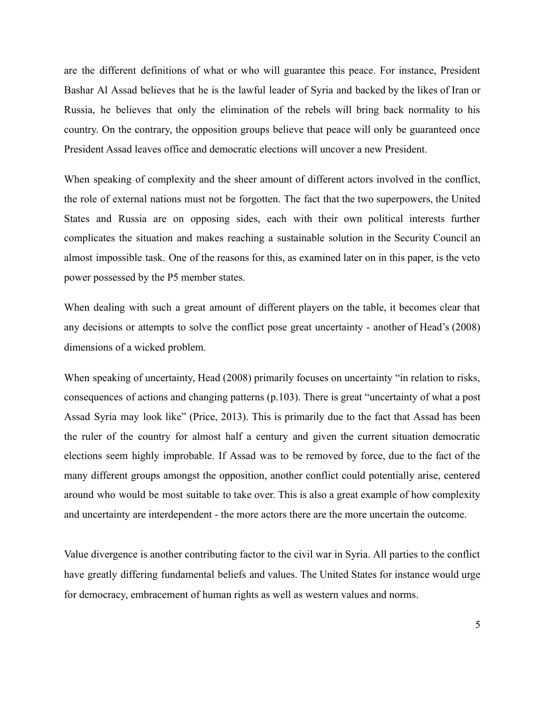are the different definitions of what or who will guarantee this peace. For instance, President Bashar Al Assad believes that he is the lawful leader of Syria and backed by the likes of Iran or Russia, he believes that only the elimination of the rebels will bring back normality to his country. On the contrary, the opposition groups believe that peace will only be guaranteed once President Assad leaves office and democratic elections will uncover a new President.

When speaking of complexity and the sheer amount of different actors involved in the conflict, the role of external nations must not be forgotten. The fact that the two superpowers, the United States and Russia are on opposing sides, each with their own political interests further complicates the situation and makes reaching a sustainable solution in the Security Council an almost impossible task. One of the reasons for this, as examined later on in this paper, is the veto power possessed by the P5 member states.

When dealing with such a great amount of different players on the table, it becomes clear that any decisions or attempts to solve the conflict pose great uncertainty - another of Head's (2008) dimensions of a wicked problem.

When speaking of uncertainty, Head (2008) primarily focuses on uncertainty "in relation to risks, consequences of actions and changing patterns (p.103). There is great "uncertainty of what a post Assad Syria may look like" (Price, 2013). This is primarily due to the fact that Assad has been the ruler of the country for almost half a century and given the current situation democratic elections seem highly improbable. If Assad was to be removed by force, due to the fact of the many different groups amongst the opposition, another conflict could potentially arise, centered around who would be most suitable to take over. This is also a great example of how complexity and uncertainty are interdependent - the more actors there are the more uncertain the outcome.

Value divergence is another contributing factor to the civil war in Syria. All parties to the conflict have greatly differing fundamental beliefs and values. The United States for instance would urge for democracy, embracement of human rights as well as western values and norms.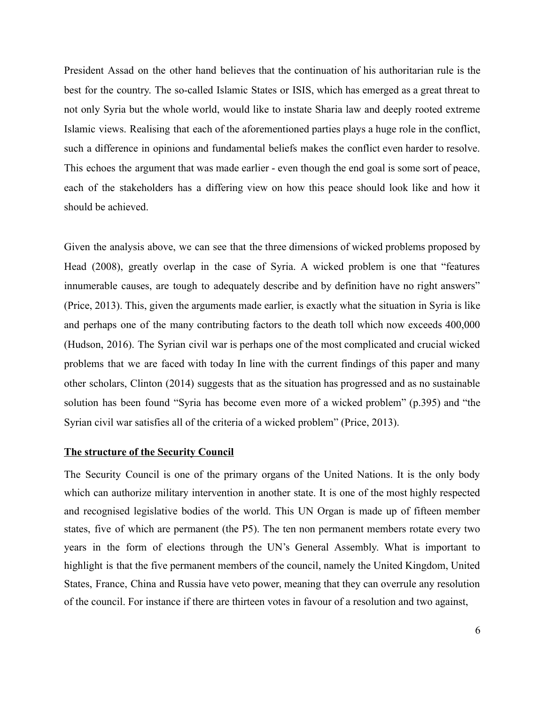President Assad on the other hand believes that the continuation of his authoritarian rule is the best for the country. The so-called Islamic States or ISIS, which has emerged as a great threat to not only Syria but the whole world, would like to instate Sharia law and deeply rooted extreme Islamic views. Realising that each of the aforementioned parties plays a huge role in the conflict, such a difference in opinions and fundamental beliefs makes the conflict even harder to resolve. This echoes the argument that was made earlier - even though the end goal is some sort of peace, each of the stakeholders has a differing view on how this peace should look like and how it should be achieved.

Given the analysis above, we can see that the three dimensions of wicked problems proposed by Head (2008), greatly overlap in the case of Syria. A wicked problem is one that "features innumerable causes, are tough to adequately describe and by definition have no right answers" (Price, 2013). This, given the arguments made earlier, is exactly what the situation in Syria is like and perhaps one of the many contributing factors to the death toll which now exceeds 400,000 (Hudson, 2016). The Syrian civil war is perhaps one of the most complicated and crucial wicked problems that we are faced with today In line with the current findings of this paper and many other scholars, Clinton (2014) suggests that as the situation has progressed and as no sustainable solution has been found "Syria has become even more of a wicked problem" (p.395) and "the Syrian civil war satisfies all of the criteria of a wicked problem" (Price, 2013).

#### **The structure of the Security Council**

The Security Council is one of the primary organs of the United Nations. It is the only body which can authorize military intervention in another state. It is one of the most highly respected and recognised legislative bodies of the world. This UN Organ is made up of fifteen member states, five of which are permanent (the P5). The ten non permanent members rotate every two years in the form of elections through the UN's General Assembly. What is important to highlight is that the five permanent members of the council, namely the United Kingdom, United States, France, China and Russia have veto power, meaning that they can overrule any resolution of the council. For instance if there are thirteen votes in favour of a resolution and two against,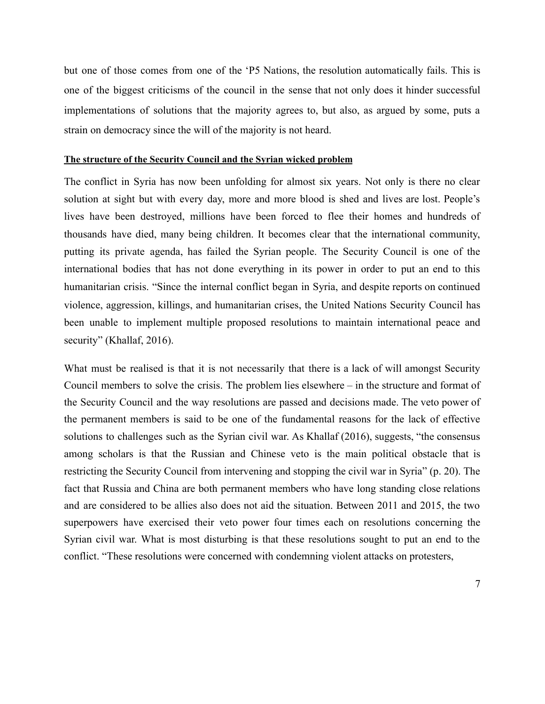but one of those comes from one of the 'P5 Nations, the resolution automatically fails. This is one of the biggest criticisms of the council in the sense that not only does it hinder successful implementations of solutions that the majority agrees to, but also, as argued by some, puts a strain on democracy since the will of the majority is not heard.

#### **The structure of the Security Council and the Syrian wicked problem**

The conflict in Syria has now been unfolding for almost six years. Not only is there no clear solution at sight but with every day, more and more blood is shed and lives are lost. People's lives have been destroyed, millions have been forced to flee their homes and hundreds of thousands have died, many being children. It becomes clear that the international community, putting its private agenda, has failed the Syrian people. The Security Council is one of the international bodies that has not done everything in its power in order to put an end to this humanitarian crisis. "Since the internal conflict began in Syria, and despite reports on continued violence, aggression, killings, and humanitarian crises, the United Nations Security Council has been unable to implement multiple proposed resolutions to maintain international peace and security" (Khallaf, 2016).

What must be realised is that it is not necessarily that there is a lack of will amongst Security Council members to solve the crisis. The problem lies elsewhere – in the structure and format of the Security Council and the way resolutions are passed and decisions made. The veto power of the permanent members is said to be one of the fundamental reasons for the lack of effective solutions to challenges such as the Syrian civil war. As Khallaf (2016), suggests, "the consensus among scholars is that the Russian and Chinese veto is the main political obstacle that is restricting the Security Council from intervening and stopping the civil war in Syria" (p. 20). The fact that Russia and China are both permanent members who have long standing close relations and are considered to be allies also does not aid the situation. Between 2011 and 2015, the two superpowers have exercised their veto power four times each on resolutions concerning the Syrian civil war. What is most disturbing is that these resolutions sought to put an end to the conflict. "These resolutions were concerned with condemning violent attacks on protesters,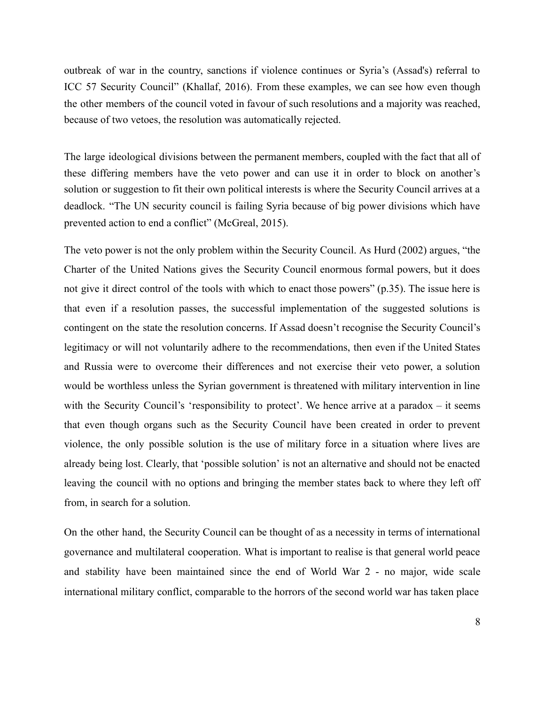outbreak of war in the country, sanctions if violence continues or Syria's (Assad's) referral to ICC 57 Security Council" (Khallaf, 2016). From these examples, we can see how even though the other members of the council voted in favour of such resolutions and a majority was reached, because of two vetoes, the resolution was automatically rejected.

The large ideological divisions between the permanent members, coupled with the fact that all of these differing members have the veto power and can use it in order to block on another's solution or suggestion to fit their own political interests is where the Security Council arrives at a deadlock. "The UN security council is failing Syria because of big power divisions which have prevented action to end a conflict" (McGreal, 2015).

The veto power is not the only problem within the Security Council. As Hurd (2002) argues, "the Charter of the United Nations gives the Security Council enormous formal powers, but it does not give it direct control of the tools with which to enact those powers" (p.35). The issue here is that even if a resolution passes, the successful implementation of the suggested solutions is contingent on the state the resolution concerns. If Assad doesn't recognise the Security Council's legitimacy or will not voluntarily adhere to the recommendations, then even if the United States and Russia were to overcome their differences and not exercise their veto power, a solution would be worthless unless the Syrian government is threatened with military intervention in line with the Security Council's 'responsibility to protect'. We hence arrive at a paradox – it seems that even though organs such as the Security Council have been created in order to prevent violence, the only possible solution is the use of military force in a situation where lives are already being lost. Clearly, that 'possible solution' is not an alternative and should not be enacted leaving the council with no options and bringing the member states back to where they left off from, in search for a solution.

On the other hand, the Security Council can be thought of as a necessity in terms of international governance and multilateral cooperation. What is important to realise is that general world peace and stability have been maintained since the end of World War 2 - no major, wide scale international military conflict, comparable to the horrors of the second world war has taken place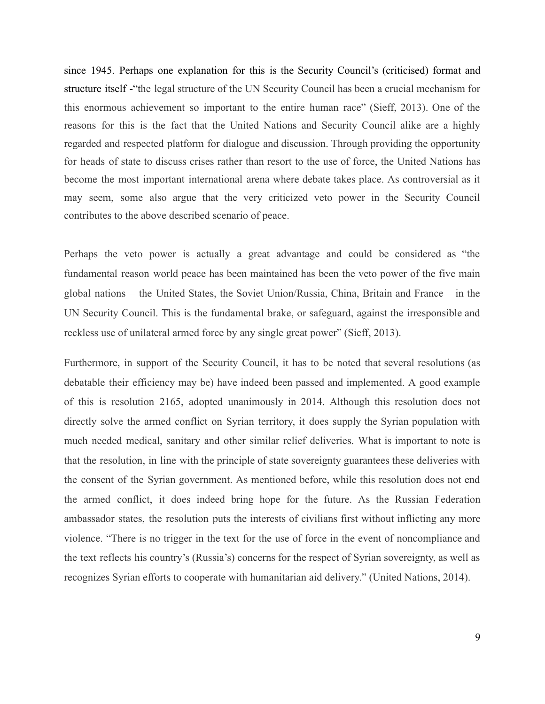since 1945. Perhaps one explanation for this is the Security Council's (criticised) format and structure itself -"the legal structure of the UN Security Council has been a crucial mechanism for this enormous achievement so important to the entire human race" (Sieff, 2013). One of the reasons for this is the fact that the United Nations and Security Council alike are a highly regarded and respected platform for dialogue and discussion. Through providing the opportunity for heads of state to discuss crises rather than resort to the use of force, the United Nations has become the most important international arena where debate takes place. As controversial as it may seem, some also argue that the very criticized veto power in the Security Council contributes to the above described scenario of peace.

Perhaps the veto power is actually a great advantage and could be considered as "the fundamental reason world peace has been maintained has been the veto power of the five main global nations – the United States, the Soviet Union/Russia, China, Britain and France – in the UN Security Council. This is the fundamental brake, or safeguard, against the irresponsible and reckless use of unilateral armed force by any single great power" (Sieff, 2013).

Furthermore, in support of the Security Council, it has to be noted that several resolutions (as debatable their efficiency may be) have indeed been passed and implemented. A good example of this is resolution 2165, adopted unanimously in 2014. Although this resolution does not directly solve the armed conflict on Syrian territory, it does supply the Syrian population with much needed medical, sanitary and other similar relief deliveries. What is important to note is that the resolution, in line with the principle of state sovereignty guarantees these deliveries with the consent of the Syrian government. As mentioned before, while this resolution does not end the armed conflict, it does indeed bring hope for the future. As the Russian Federation ambassador states, the resolution puts the interests of civilians first without inflicting any more violence. "There is no trigger in the text for the use of force in the event of noncompliance and the text reflects his country's (Russia's) concerns for the respect of Syrian sovereignty, as well as recognizes Syrian efforts to cooperate with humanitarian aid delivery." (United Nations, 2014).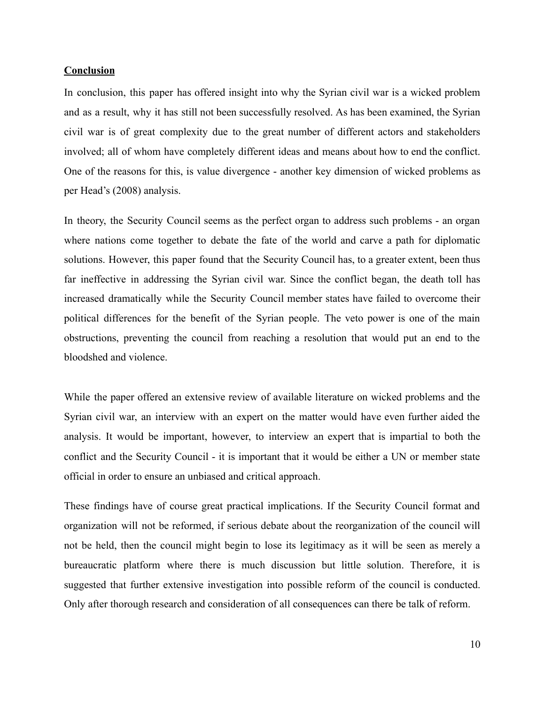#### **Conclusion**

In conclusion, this paper has offered insight into why the Syrian civil war is a wicked problem and as a result, why it has still not been successfully resolved. As has been examined, the Syrian civil war is of great complexity due to the great number of different actors and stakeholders involved; all of whom have completely different ideas and means about how to end the conflict. One of the reasons for this, is value divergence - another key dimension of wicked problems as per Head's (2008) analysis.

In theory, the Security Council seems as the perfect organ to address such problems - an organ where nations come together to debate the fate of the world and carve a path for diplomatic solutions. However, this paper found that the Security Council has, to a greater extent, been thus far ineffective in addressing the Syrian civil war. Since the conflict began, the death toll has increased dramatically while the Security Council member states have failed to overcome their political differences for the benefit of the Syrian people. The veto power is one of the main obstructions, preventing the council from reaching a resolution that would put an end to the bloodshed and violence.

While the paper offered an extensive review of available literature on wicked problems and the Syrian civil war, an interview with an expert on the matter would have even further aided the analysis. It would be important, however, to interview an expert that is impartial to both the conflict and the Security Council - it is important that it would be either a UN or member state official in order to ensure an unbiased and critical approach.

These findings have of course great practical implications. If the Security Council format and organization will not be reformed, if serious debate about the reorganization of the council will not be held, then the council might begin to lose its legitimacy as it will be seen as merely a bureaucratic platform where there is much discussion but little solution. Therefore, it is suggested that further extensive investigation into possible reform of the council is conducted. Only after thorough research and consideration of all consequences can there be talk of reform.